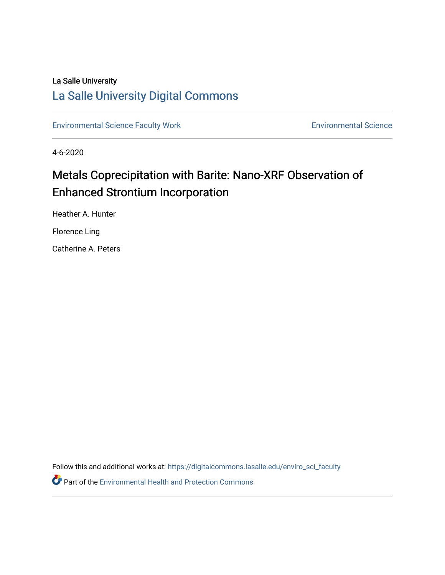## La Salle University

## [La Salle University Digital Commons](https://digitalcommons.lasalle.edu/)

[Environmental Science Faculty Work](https://digitalcommons.lasalle.edu/enviro_sci_faculty) **Environmental Science** Environmental Science

4-6-2020

# Metals Coprecipitation with Barite: Nano-XRF Observation of Enhanced Strontium Incorporation

Heather A. Hunter

Florence Ling

Catherine A. Peters

Follow this and additional works at: [https://digitalcommons.lasalle.edu/enviro\\_sci\\_faculty](https://digitalcommons.lasalle.edu/enviro_sci_faculty?utm_source=digitalcommons.lasalle.edu%2Fenviro_sci_faculty%2F2&utm_medium=PDF&utm_campaign=PDFCoverPages) 

**P** Part of the Environmental Health and Protection Commons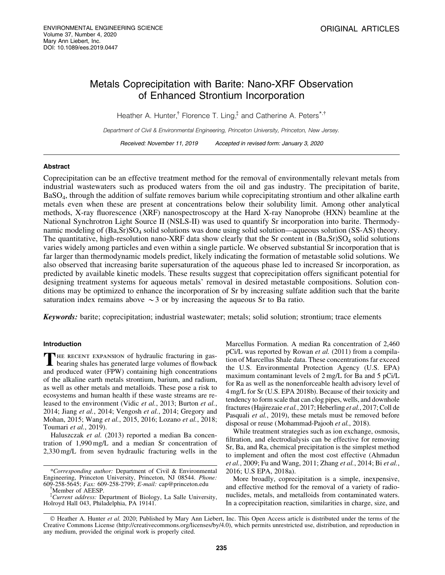### Metals Coprecipitation with Barite: Nano-XRF Observation of Enhanced Strontium Incorporation

Heather A. Hunter,<sup>†</sup> Florence T. Ling, $\frac{1}{4}$  and Catherine A. Peters<sup>\*,†</sup>

Department of Civil & Environmental Engineering, Princeton University, Princeton, New Jersey.

Received: November 11, 2019 Accepted in revised form: January 3, 2020

#### Abstract

Coprecipitation can be an effective treatment method for the removal of environmentally relevant metals from industrial wastewaters such as produced waters from the oil and gas industry. The precipitation of barite, BaSO4, through the addition of sulfate removes barium while coprecipitating strontium and other alkaline earth metals even when these are present at concentrations below their solubility limit. Among other analytical methods, X-ray fluorescence (XRF) nanospectroscopy at the Hard X-ray Nanoprobe (HXN) beamline at the National Synchrotron Light Source II (NSLS-II) was used to quantify Sr incorporation into barite. Thermodynamic modeling of (Ba,Sr)SO<sub>4</sub> solid solutions was done using solid solution—aqueous solution (SS-AS) theory. The quantitative, high-resolution nano-XRF data show clearly that the Sr content in  $(Ba, Sr)SO<sub>4</sub>$  solid solutions varies widely among particles and even within a single particle. We observed substantial Sr incorporation that is far larger than thermodynamic models predict, likely indicating the formation of metastable solid solutions. We also observed that increasing barite supersaturation of the aqueous phase led to increased Sr incorporation, as predicted by available kinetic models. These results suggest that coprecipitation offers significant potential for designing treatment systems for aqueous metals' removal in desired metastable compositions. Solution conditions may be optimized to enhance the incorporation of Sr by increasing sulfate addition such that the barite saturation index remains above  $\sim$  3 or by increasing the aqueous Sr to Ba ratio.

Keywords: barite; coprecipitation; industrial wastewater; metals; solid solution; strontium; trace elements

#### Introduction

THE RECENT EXPANSION of hydraulic fracturing in gas-<br>bearing shales has generated large volumes of flowback and produced water (FPW) containing high concentrations of the alkaline earth metals strontium, barium, and radium, as well as other metals and metalloids. These pose a risk to ecosystems and human health if these waste streams are released to the environment (Vidic *et al.*, 2013; Burton *et al.*, 2014; Jiang *et al.*, 2014; Vengosh *et al.*, 2014; Gregory and Mohan, 2015; Wang *et al.*, 2015, 2016; Lozano *et al.*, 2018; Toumari *et al.*, 2019).

Haluszczak *et al.* (2013) reported a median Ba concentration of 1,990 mg/L and a median Sr concentration of 2,330 mg/L from seven hydraulic fracturing wells in the

*\*Corresponding author:* Department of Civil & Environmental Engineering, Princeton University, Princeton, NJ 08544. *Phone:* 609-258-5645; *Fax:* 609-258-2799; *E-mail:* cap@princeton.edu {

{ *Current address:* Department of Biology, La Salle University, Holroyd Hall 043, Philadelphia, PA 19141.

Marcellus Formation. A median Ra concentration of 2,460 pCi/L was reported by Rowan *et al.* (2011) from a compilation of Marcellus Shale data. These concentrations far exceed the U.S. Environmental Protection Agency (U.S. EPA) maximum contaminant levels of 2 mg/L for Ba and 5 pCi/L for Ra as well as the nonenforceable health advisory level of 4 mg/L for Sr (U.S. EPA 2018b). Because of their toxicity and tendency to form scale that can clog pipes, wells, and downhole fractures (Hajirezaie *et al.*, 2017; Heberling *et al.*, 2017; Coll de Pasquali *et al.*, 2019), these metals must be removed before disposal or reuse (Mohammad-Pajooh *et al.*, 2018).

While treatment strategies such as ion exchange, osmosis, filtration, and electrodialysis can be effective for removing Sr, Ba, and Ra, chemical precipitation is the simplest method to implement and often the most cost effective (Ahmadun *et al.*, 2009; Fu and Wang, 2011; Zhang *et al.*, 2014; Bi *et al.*, 2016; U.S EPA, 2018a).

More broadly, coprecipitation is a simple, inexpensive, and effective method for the removal of a variety of radionuclides, metals, and metalloids from contaminated waters. In a coprecipitation reaction, similarities in charge, size, and

Member of AEESP.

<sup>©</sup> Heather A. Hunter *et al.* 2020; Published by Mary Ann Liebert, Inc. This Open Access article is distributed under the terms of the Creative Commons License [\(http://creativecommons.org/licenses/by/4.0\)](http://creativecommons.org/licenses/by/4.0), which permits unrestricted use, distribution, and reproduction in any medium, provided the original work is properly cited.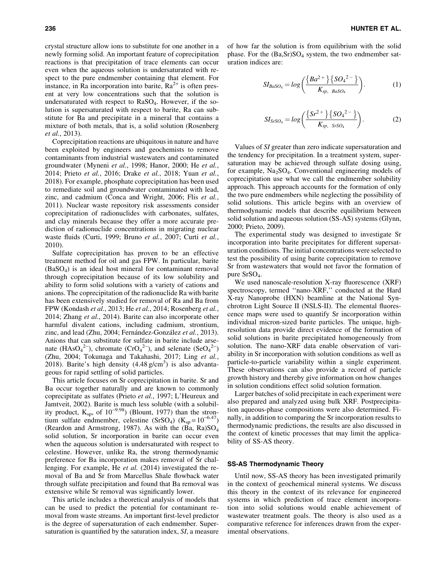crystal structure allow ions to substitute for one another in a newly forming solid. An important feature of coprecipitation reactions is that precipitation of trace elements can occur even when the aqueous solution is undersaturated with respect to the pure endmember containing that element. For instance, in Ra incorporation into barite,  $Ra^{2+}$  is often present at very low concentrations such that the solution is undersaturated with respect to  $RaSO<sub>4</sub>$ . However, if the solution is supersaturated with respect to barite, Ra can substitute for Ba and precipitate in a mineral that contains a mixture of both metals, that is, a solid solution (Rosenberg *et al.*, 2013).

Coprecipitation reactions are ubiquitous in nature and have been exploited by engineers and geochemists to remove contaminants from industrial wastewaters and contaminated groundwater (Myneni *et al.*, 1998; Hanor, 2000; He *et al.*, 2014; Prieto *et al.*, 2016; Drake *et al.*, 2018; Yuan *et al.*, 2018). For example, phosphate coprecipitation has been used to remediate soil and groundwater contaminated with lead, zinc, and cadmium (Conca and Wright, 2006; Flis *et al.*, 2011). Nuclear waste repository risk assessments consider coprecipitation of radionuclides with carbonates, sulfates, and clay minerals because they offer a more accurate prediction of radionuclide concentrations in migrating nuclear waste fluids (Curti, 1999; Bruno *et al.*, 2007; Curti *et al.*, 2010).

Sulfate coprecipitation has proven to be an effective treatment method for oil and gas FPW. In particular, barite (BaSO4) is an ideal host mineral for contaminant removal through coprecipitation because of its low solubility and ability to form solid solutions with a variety of cations and anions. The coprecipitation of the radionuclide Ra with barite has been extensively studied for removal of Ra and Ba from FPW (Kondash *et al.*, 2013; He *et al.*, 2014; Rosenberg *et al.*, 2014; Zhang *et al.*, 2014). Barite can also incorporate other harmful divalent cations, including cadmium, strontium, zinc, and lead (Zhu, 2004; Fernández-González *et al.*, 2013). Anions that can substitute for sulfate in barite include arsenate (HAsO<sub>4</sub><sup>2-</sup>), chromate (CrO<sub>4</sub><sup>2-</sup>), and selenate (SeO<sub>4</sub><sup>2-</sup>) (Zhu, 2004; Tokunaga and Takahashi, 2017; Ling *et al.*, 2018). Barite's high density  $(4.48 \text{ g/cm}^3)$  is also advantageous for rapid settling of solid particles.

This article focuses on Sr coprecipitation in barite. Sr and Ba occur together naturally and are known to commonly coprecipitate as sulfates (Prieto *et al.*, 1997; L'Heureux and Jamtveit, 2002). Barite is much less soluble (with a solubility product,  $K_{\rm sp}$ , of  $10^{-9.98}$ ) (Blount, 1977) than the strontium sulfate endmember, celestine (SrSO<sub>4</sub>) ( $K_{sp} = 10^{-6.47}$ ) (Reardon and Armstrong, 1987). As with the  $(Ba, Ra)SO<sub>4</sub>$ solid solution, Sr incorporation in barite can occur even when the aqueous solution is undersaturated with respect to celestine. However, unlike Ra, the strong thermodynamic preference for Ba incorporation makes removal of Sr challenging. For example, He *et al.* (2014) investigated the removal of Ba and Sr from Marcellus Shale flowback water through sulfate precipitation and found that Ba removal was extensive while Sr removal was significantly lower.

This article includes a theoretical analysis of models that can be used to predict the potential for contaminant removal from waste streams. An important first-level predictor is the degree of supersaturation of each endmember. Supersaturation is quantified by the saturation index, *SI*, a measure of how far the solution is from equilibrium with the solid phase. For the  $(Ba, Sr)SO<sub>4</sub>$  system, the two endmember saturation indices are:

$$
SI_{BaSO_4} = log\left(\frac{\left\{Ba^{2+}\right\}\left\{SO_4^{2-}\right\}}{K_{sp,\;BaSO_4}}\right). \tag{1}
$$

$$
SI_{SrSO_4} = log\left(\frac{\left\{Sr^{2+}\right\}\left\{SO_4^{2-}\right\}}{K_{sp, SrSO_4}}\right). \tag{2}
$$

Values of *SI* greater than zero indicate supersaturation and the tendency for precipitation. In a treatment system, supersaturation may be achieved through sulfate dosing using, for example,  $Na<sub>2</sub>SO<sub>4</sub>$ . Conventional engineering models of coprecipitation use what we call the endmember solubility approach. This approach accounts for the formation of only the two pure endmembers while neglecting the possibility of solid solutions. This article begins with an overview of thermodynamic models that describe equilibrium between solid solution and aqueous solution (SS-AS) systems (Glynn, 2000; Prieto, 2009).

The experimental study was designed to investigate Sr incorporation into barite precipitates for different supersaturation conditions. The initial concentrations were selected to test the possibility of using barite coprecipitation to remove Sr from wastewaters that would not favor the formation of pure SrSO4.

We used nanoscale-resolution X-ray fluorescence (XRF) spectroscopy, termed "nano-XRF," conducted at the Hard X-ray Nanoprobe (HXN) beamline at the National Synchrotron Light Source II (NSLS-II). The elemental fluorescence maps were used to quantify Sr incorporation within individual micron-sized barite particles. The unique, highresolution data provide direct evidence of the formation of solid solutions in barite precipitated homogeneously from solution. The nano-XRF data enable observation of variability in Sr incorporation with solution conditions as well as particle-to-particle variability within a single experiment. These observations can also provide a record of particle growth history and thereby give information on how changes in solution conditions effect solid solution formation.

Larger batches of solid precipitate in each experiment were also prepared and analyzed using bulk XRF. Postprecipitation aqueous-phase compositions were also determined. Finally, in addition to comparing the Sr incorporation results to thermodynamic predictions, the results are also discussed in the context of kinetic processes that may limit the applicability of SS-AS theory.

#### SS-AS Thermodynamic Theory

Until now, SS-AS theory has been investigated primarily in the context of geochemical mineral systems. We discuss this theory in the context of its relevance for engineered systems in which prediction of trace element incorporation into solid solutions would enable achievement of wastewater treatment goals. The theory is also used as a comparative reference for inferences drawn from the experimental observations.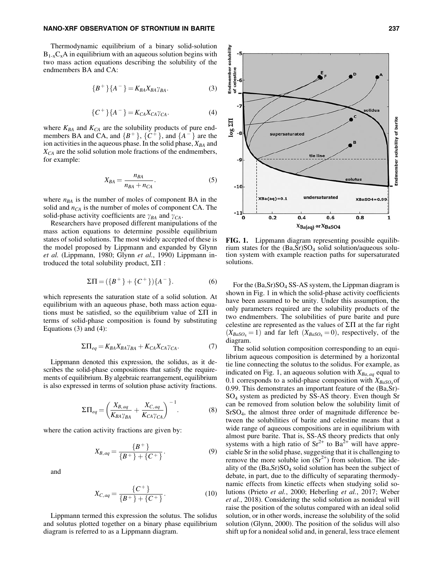#### NANO-XRF OBSERVATION OF STRONTIUM IN BARITE 237

Thermodynamic equilibrium of a binary solid-solution  $B_{1-x}C_xA$  in equilibrium with an aqueous solution begins with two mass action equations describing the solubility of the endmembers BA and CA:

$$
\{B^+\}\{A^-\} = K_{BA} X_{BA} \gamma_{BA}.\tag{3}
$$

$$
\{C^{+}\}\{A^{-}\}=K_{CA}X_{CA}\gamma_{CA}.\tag{4}
$$

where  $K_{BA}$  and  $K_{CA}$  are the solubility products of pure endmembers BA and CA, and  $\{B^+\}$ ,  $\{C^+\}$ , and  $\{A^-\}$  are the ion activities in the aqueous phase. In the solid phase,  $X_{BA}$  and *XCA* are the solid solution mole fractions of the endmembers, for example:

$$
X_{BA} = \frac{n_{BA}}{n_{BA} + n_{CA}}.\tag{5}
$$

where  $n_{BA}$  is the number of moles of component BA in the solid and  $n_{CA}$  is the number of moles of component CA. The solid-phase activity coefficients are  $\gamma_{BA}$  and  $\gamma_{CA}$ .

Researchers have proposed different manipulations of the mass action equations to determine possible equilibrium states of solid solutions. The most widely accepted of these is the model proposed by Lippmann and expanded by Glynn *et al.* (Lippmann, 1980; Glynn *et al.*, 1990) Lippmann introduced the total solubility product,  $\Sigma\Pi$  :

$$
\Sigma\Pi = (\{B^+\} + \{C^+\})\{A^-\}.
$$
 (6)

which represents the saturation state of a solid solution. At equilibrium with an aqueous phase, both mass action equations must be satisfied, so the equilibrium value of  $\Sigma\Pi$  in terms of solid-phase composition is found by substituting Equations (3) and (4):

$$
\Sigma\Pi_{eq} = K_{BA}X_{BA}\gamma_{BA} + K_{CA}X_{CA}\gamma_{CA}.\tag{7}
$$

Lippmann denoted this expression, the solidus, as it describes the solid-phase compositions that satisfy the requirements of equilibrium. By algebraic rearrangement, equilibrium is also expressed in terms of solution phase activity fractions.

$$
\Sigma\Pi_{eq} = \left(\frac{X_{B,aq}}{K_{BA}\gamma_{BA}} + \frac{X_{C,aq}}{K_{CA}\gamma_{CA}}\right)^{-1}.\tag{8}
$$

where the cation activity fractions are given by:

$$
X_{B, aq} = \frac{\{B^+\}}{\{B^+\} + \{C^+\}}.
$$
\n(9)

and

$$
X_{C,aq} = \frac{\{C^+\}}{\{B^+\} + \{C^+\}}.\tag{10}
$$

Lippmann termed this expression the solutus. The solidus and solutus plotted together on a binary phase equilibrium diagram is referred to as a Lippmann diagram.



For the  $(Ba, Sr)SO<sub>4</sub>$  SS-AS system, the Lippman diagram is shown in Fig. 1 in which the solid-phase activity coefficients have been assumed to be unity. Under this assumption, the only parameters required are the solubility products of the two endmembers. The solubilities of pure barite and pure celestine are represented as the values of  $\Sigma\Pi$  at the far right  $(X_{BaSO_4} = 1)$  and far left  $(X_{BaSO_4} = 0)$ , respectively, of the diagram.

The solid solution composition corresponding to an equilibrium aqueous composition is determined by a horizontal tie line connecting the solutus to the solidus. For example, as indicated on Fig. 1, an aqueous solution with  $X_{Ba, aq}$  equal to 0.1 corresponds to a solid-phase composition with  $X_{BaSO_4}$  of 0.99. This demonstrates an important feature of the (Ba,Sr)- SO4 system as predicted by SS-AS theory. Even though Sr can be removed from solution below the solubility limit of SrSO4, the almost three order of magnitude difference between the solubilities of barite and celestine means that a wide range of aqueous compositions are in equilibrium with almost pure barite. That is, SS-AS theory predicts that only systems with a high ratio of  $Sr^{2+}$  to  $Ba^{2+}$  will have appreciable Sr in the solid phase, suggesting that it is challenging to remove the more soluble ion  $(Sr^{2+})$  from solution. The ideality of the  $(Ba, Sr)SO<sub>4</sub>$  solid solution has been the subject of debate, in part, due to the difficulty of separating thermodynamic effects from kinetic effects when studying solid solutions (Prieto *et al.*, 2000; Heberling *et al.*, 2017; Weber *et al.*, 2018). Considering the solid solution as nonideal will raise the position of the solutus compared with an ideal solid solution, or in other words, increase the solubility of the solid solution (Glynn, 2000). The position of the solidus will also shift up for a nonideal solid and, in general, less trace element

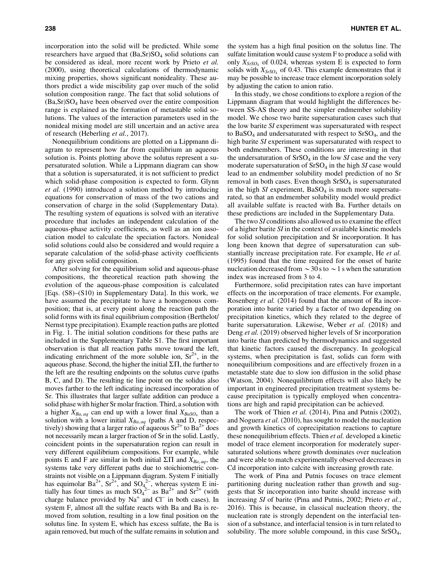incorporation into the solid will be predicted. While some researchers have argued that  $(Ba, Sr)SO<sub>4</sub>$  solid solutions can be considered as ideal, more recent work by Prieto *et al.* (2000), using theoretical calculations of thermodynamic mixing properties, shows significant nonideality. These authors predict a wide miscibility gap over much of the solid solution composition range. The fact that solid solutions of (Ba,Sr)SO4 have been observed over the entire composition range is explained as the formation of metastable solid solutions. The values of the interaction parameters used in the nonideal mixing model are still uncertain and an active area of research (Heberling *et al.*, 2017).

Nonequilibrium conditions are plotted on a Lippmann diagram to represent how far from equilibrium an aqueous solution is. Points plotting above the solutus represent a supersaturated solution. While a Lippmann diagram can show that a solution is supersaturated, it is not sufficient to predict which solid-phase composition is expected to form. Glynn *et al.* (1990) introduced a solution method by introducing equations for conservation of mass of the two cations and conservation of charge in the solid (Supplementary Data). The resulting system of equations is solved with an iterative procedure that includes an independent calculation of the aqueous-phase activity coefficients, as well as an ion association model to calculate the speciation factors. Nonideal solid solutions could also be considered and would require a separate calculation of the solid-phase activity coefficients for any given solid composition.

After solving for the equilibrium solid and aqueous-phase compositions, the theoretical reaction path showing the evolution of the aqueous-phase composition is calculated [Eqs. (S8)–(S10) in Supplementary Data]. In this work, we have assumed the precipitate to have a homogenous composition; that is, at every point along the reaction path the solid forms with its final equilibrium composition (Berthelot/ Nernst type precipitation). Example reaction paths are plotted in Fig. 1. The initial solution conditions for these paths are included in the Supplementary Table S1. The first important observation is that all reaction paths move toward the left, indicating enrichment of the more soluble ion,  $Sr^{2+}$ , in the aqueous phase. Second, the higher the initial  $\Sigma\Pi$ , the further to the left are the resulting endpoints on the solutus curve (paths B, C, and D). The resulting tie line point on the solidus also moves farther to the left indicating increased incorporation of Sr. This illustrates that larger sulfate addition can produce a solid phase with higher Sr molar fraction. Third, a solution with a higher  $X_{Ba, aq}$  can end up with a lower final  $X_{BaSO_4}$  than a solution with a lower initial  $X_{Ba, aq}$  (paths A and D, respectively) showing that a larger ratio of aqueous  $Sr^{2+}$  to  $Ba^{2+}$  does not necessarily mean a larger fraction of Sr in the solid. Lastly, coincident points in the supersaturation region can result in very different equilibrium compositions. For example, while points E and F are similar in both initial  $\Sigma\Pi$  and  $X_{Ba, aq}$ , the systems take very different paths due to stoichiometric constraints not visible on a Lippmann diagram. System F initially has equimolar  $Ba^{2+}$ ,  $Sr^{2+}$ , and  $SO_4^{2-}$ , whereas system E initially has four times as much  $SO_4^{2-}$  as  $Ba^{2+}$  and  $Sr^{2+}$  (with charge balance provided by  $Na<sup>+</sup>$  and  $Cl<sup>-</sup>$  in both cases). In system F, almost all the sulfate reacts with Ba and Ba is removed from solution, resulting in a low final position on the solutus line. In system E, which has excess sulfate, the Ba is again removed, but much of the sulfate remains in solution and the system has a high final position on the solutus line. The sulfate limitation would cause system F to produce a solid with only *XSrSO*<sup>4</sup> of 0.024, whereas system E is expected to form solids with  $X_{SrSO_4}$  of 0.43. This example demonstrates that it may be possible to increase trace element incorporation solely by adjusting the cation to anion ratio.

In this study, we chose conditions to explore a region of the Lippmann diagram that would highlight the differences between SS-AS theory and the simpler endmember solubility model. We chose two barite supersaturation cases such that the low barite *SI* experiment was supersaturated with respect to  $BaSO<sub>4</sub>$  and undersaturated with respect to  $SrSO<sub>4</sub>$ , and the high barite *SI* experiment was supersaturated with respect to both endmembers. These conditions are interesting in that the undersaturation of  $SrSO<sub>4</sub>$  in the low *SI* case and the very moderate supersaturation of SrSO<sub>4</sub> in the high *SI* case would lead to an endmember solubility model prediction of no Sr removal in both cases. Even though  $SrSO<sub>4</sub>$  is supersaturated in the high *SI* experiment,  $BaSO<sub>4</sub>$  is much more supersaturated, so that an endmember solubility model would predict all available sulfate is reacted with Ba. Further details on these predictions are included in the Supplementary Data.

The two *SI* conditions also allowed us to examine the effect of a higher barite *SI* in the context of available kinetic models for solid solution precipitation and Sr incorporation. It has long been known that degree of supersaturation can substantially increase precipitation rate. For example, He *et al.* (1995) found that the time required for the onset of barite nucleation decreased from  $\sim$  30 s to  $\sim$  1 s when the saturation index was increased from 3 to 4.

Furthermore, solid precipitation rates can have important effects on the incorporation of trace elements. For example, Rosenberg *et al.* (2014) found that the amount of Ra incorporation into barite varied by a factor of two depending on precipitation kinetics, which they related to the degree of barite supersaturation. Likewise, Weber *et al.* (2018) and Deng *et al.* (2019) observed higher levels of Sr incorporation into barite than predicted by thermodynamics and suggested that kinetic factors caused the discrepancy. In geological systems, when precipitation is fast, solids can form with nonequilibrium compositions and are effectively frozen in a metastable state due to slow ion diffusion in the solid phase (Watson, 2004). Nonequilibrium effects will also likely be important in engineered precipitation treatment systems because precipitation is typically employed when concentrations are high and rapid precipitation can be achieved.

The work of Thien *et al.* (2014), Pina and Putnis (2002), and Noguera *et al.* (2010), has sought to model the nucleation and growth kinetics of coprecipitation reactions to capture these nonequilibrium effects. Thien *et al.* developed a kinetic model of trace element incorporation for moderately supersaturated solutions where growth dominates over nucleation and were able to match experimentally observed decreases in Cd incorporation into calcite with increasing growth rate.

The work of Pina and Putnis focuses on trace element partitioning during nucleation rather than growth and suggests that Sr incorporation into barite should increase with increasing *SI* of barite (Pina and Putnis, 2002; Prieto *et al.*, 2016). This is because, in classical nucleation theory, the nucleation rate is strongly dependent on the interfacial tension of a substance, and interfacial tension is in turn related to solubility. The more soluble compound, in this case  $SrSO<sub>4</sub>$ ,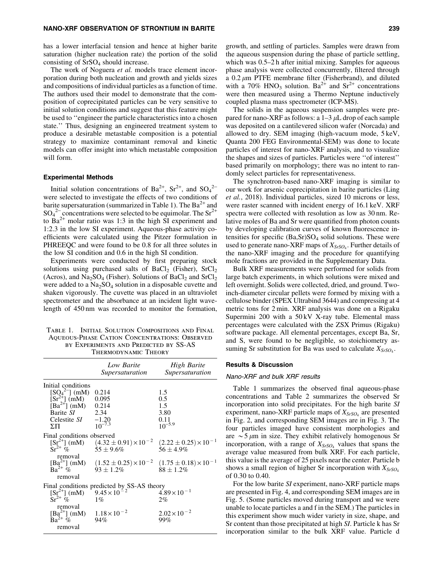has a lower interfacial tension and hence at higher barite saturation (higher nucleation rate) the portion of the solid consisting of  $SrSO<sub>4</sub>$  should increase.

The work of Noguera *et al.* models trace element incorporation during both nucleation and growth and yields sizes and compositions of individual particles as a function of time. The authors used their model to demonstrate that the composition of coprecipitated particles can be very sensitive to initial solution conditions and suggest that this feature might be used to ''engineer the particle characteristics into a chosen state.'' Thus, designing an engineered treatment system to produce a desirable metastable composition is a potential strategy to maximize contaminant removal and kinetic models can offer insight into which metastable composition will form.

#### Experimental Methods

Initial solution concentrations of  $Ba^{2+}$ ,  $Sr^{2+}$ , and  $SO_4^{2-}$ were selected to investigate the effects of two conditions of barite supersaturation (summarized in Table 1). The  $Ba^{2+}$  and  $SO_4^2$  concentrations were selected to be equimolar. The  $Sr^{2+}$ to  $Ba^{2+}$  molar ratio was 1:3 in the high SI experiment and 1:2.3 in the low SI experiment. Aqueous-phase activity coefficients were calculated using the Pitzer formulation in PHREEQC and were found to be 0.8 for all three solutes in the low SI condition and 0.6 in the high SI condition.

Experiments were conducted by first preparing stock solutions using purchased salts of  $BaCl<sub>2</sub>$  (Fisher),  $SrCl<sub>2</sub>$ (Acros), and  $Na<sub>2</sub>SO<sub>4</sub>$  (Fisher). Solutions of BaCl<sub>2</sub> and SrCl<sub>2</sub> were added to a  $Na<sub>2</sub>SO<sub>4</sub>$  solution in a disposable cuvette and shaken vigorously. The cuvette was placed in an ultraviolet spectrometer and the absorbance at an incident light wavelength of 450 nm was recorded to monitor the formation,

Table 1. Initial Solution Compositions and Final Aqueous-Phase Cation Concentrations: Observed by Experiments and Predicted by SS-AS Thermodynamic Theory

|                                          | Low Barite<br>Supersaturation                                                                             | High Barite<br>Supersaturation |
|------------------------------------------|-----------------------------------------------------------------------------------------------------------|--------------------------------|
| Initial conditions                       |                                                                                                           |                                |
| $[SO_4{}^{2-}]$ (mM) 0.214               |                                                                                                           | 1.5                            |
| $[Sr^{2+}]$ (mM) 0.095                   |                                                                                                           | 0.5                            |
| $\left[\text{Ba}^{2+}\right]$ (mM) 0.214 |                                                                                                           | 1.5                            |
| Barite SI 2.34                           |                                                                                                           | 3.80                           |
| Celestite $SI$ -1.20                     |                                                                                                           | 0.11                           |
| ΣΠ                                       | $10^{-7.3}$                                                                                               | $10^{-5.9}$                    |
| Final conditions observed                |                                                                                                           |                                |
| $Sr^{2+}$ %                              | $[Sr^{2+}]$ (mM) $(4.32 \pm 0.91) \times 10^{-2}$ $(2.22 \pm 0.25) \times 10^{-1}$<br>$55 + 9.6\%$        | $56 + 4.9\%$                   |
| removal<br>$\mathrm{Ba}^{2+}$ %          | $[\text{Ba}^{2+}]$ (mM) $(1.52 \pm 0.25) \times 10^{-2}$ $(1.75 \pm 0.18) \times 10^{-1}$<br>$93 + 1.2\%$ | $88 + 1.2\%$                   |
| removal                                  |                                                                                                           |                                |
|                                          | Final conditions predicted by SS-AS theory<br>[Sr <sup>2+</sup> ] (mM) 9.45 × 10 <sup>-2</sup> 4.8        |                                |
|                                          |                                                                                                           | $4.89 \times 10^{-1}$          |
| $Sr^{2+}$ %                              | $1\%$                                                                                                     | 2%                             |
| removal                                  |                                                                                                           |                                |
| $[Ba^{2+}]$ (mM) $1.18 \times 10^{-2}$   |                                                                                                           | $2.02 \times 10^{-2}$          |
| $Ba^{2+}$ %                              | 94%                                                                                                       | 99%                            |
| removal                                  |                                                                                                           |                                |

growth, and settling of particles. Samples were drawn from the aqueous suspension during the phase of particle settling, which was  $0.5-2$  h after initial mixing. Samples for aqueous phase analysis were collected concurrently, filtered through a  $0.2 \mu$ m PTFE membrane filter (Fisherbrand), and diluted with a 70% HNO<sub>3</sub> solution. Ba<sup>2+</sup> and Sr<sup>2+</sup> concentrations were then measured using a Thermo Neptune inductively coupled plasma mass spectrometer (ICP-MS).

The solids in the aqueous suspension samples were prepared for nano-XRF as follows: a  $1-3 \mu L$  drop of each sample was deposited on a cantilevered silicon wafer (Norcada) and allowed to dry. SEM imaging (high-vacuum mode, 5 keV, Quanta 200 FEG Environmental-SEM) was done to locate particles of interest for nano-XRF analysis, and to visualize the shapes and sizes of particles. Particles were ''of interest'' based primarily on morphology; there was no intent to randomly select particles for representativeness.

The synchrotron-based nano-XRF imaging is similar to our work for arsenic coprecipitation in barite particles (Ling *et al.*, 2018). Individual particles, sized 10 microns or less, were raster scanned with incident energy of 16.1 keV. XRF spectra were collected with resolution as low as 30 nm. Relative moles of Ba and Sr were quantified from photon counts by developing calibration curves of known fluorescence intensities for specific  $(Ba, Sr)SO<sub>4</sub>$  solid solutions. These were used to generate nano-XRF maps of  $X_{SrSO<sub>4</sub>}$ . Further details of the nano-XRF imaging and the procedure for quantifying mole fractions are provided in the Supplementary Data.

Bulk XRF measurements were performed for solids from large batch experiments, in which solutions were mixed and left overnight. Solids were collected, dried, and ground. Twoinch-diameter circular pellets were formed by mixing with a cellulose binder (SPEX Ultrabind 3644) and compressing at 4 metric tons for 2 min. XRF analysis was done on a Rigaku Supermini 200 with a 50 kV X-ray tube. Elemental mass percentages were calculated with the ZSX Primus (Rigaku) software package. All elemental percentages, except Ba, Sr, and S, were found to be negligible, so stoichiometry assuming Sr substitution for Ba was used to calculate  $X_{SrSO_4}$ .

#### Results & Discussion

#### Nano-XRF and bulk XRF results

Table 1 summarizes the observed final aqueous-phase concentrations and Table 2 summarizes the observed Sr incorporation into solid precipitates. For the high barite *SI* experiment, nano-XRF particle maps of  $X_{SrSO_4}$  are presented in Fig. 2, and corresponding SEM images are in Fig. 3. The four particles imaged have consistent morphologies and are  $\sim$  5  $\mu$ m in size. They exhibit relatively homogenous Sr incorporation, with a range of  $X_{SrSO_4}$  values that spans the average value measured from bulk XRF. For each particle, this value is the average of 25 pixels near the center. Particle b shows a small region of higher Sr incorporation with  $X_{SrSO_4}$ of 0.30 to 0.40.

For the low barite *SI* experiment, nano-XRF particle maps are presented in Fig. 4, and corresponding SEM images are in Fig. 5. (Some particles moved during transport and we were unable to locate particles a and f in the SEM.) The particles in this experiment show much wider variety in size, shape, and Sr content than those precipitated at high *SI*. Particle k has Sr incorporation similar to the bulk XRF value. Particle d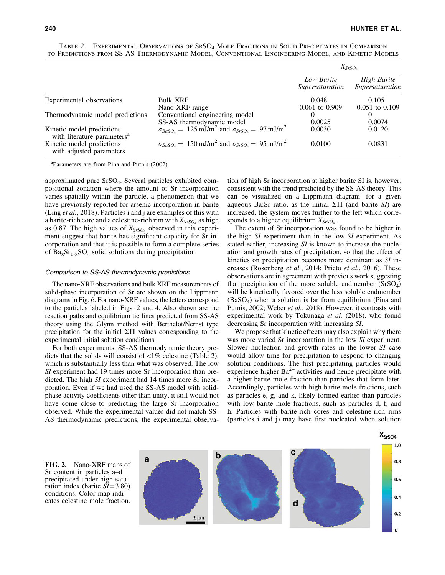|                                                                      |                                                                                  | $X_{SrSO_4}$                  |                                |
|----------------------------------------------------------------------|----------------------------------------------------------------------------------|-------------------------------|--------------------------------|
|                                                                      |                                                                                  | Low Barite<br>Supersaturation | High Barite<br>Supersaturation |
| Experimental observations                                            | <b>Bulk XRF</b>                                                                  | 0.048                         | 0.105                          |
|                                                                      | Nano-XRF range                                                                   | $0.061$ to $0.909$            | $0.051$ to $0.109$             |
| Thermodynamic model predictions                                      | Conventional engineering model                                                   | $\theta$                      |                                |
|                                                                      | SS-AS thermodynamic model                                                        | 0.0025                        | 0.0074                         |
| Kinetic model predictions<br>with literature parameters <sup>a</sup> | $\sigma_{BaSO_4} = 125 \text{ mJ/m}^2$ and $\sigma_{SrSO_4} = 97 \text{ mJ/m}^2$ | 0.0030                        | 0.0120                         |
| Kinetic model predictions<br>with adjusted parameters                | $\sigma_{BaSO_4} = 150 \text{ mJ/m}^2$ and $\sigma_{SrSO_4} = 95 \text{ mJ/m}^2$ | 0.0100                        | 0.0831                         |

TABLE 2. EXPERIMENTAL OBSERVATIONS OF SRSO<sub>4</sub> MOLE FRACTIONS IN SOLID PRECIPITATES IN COMPARISON to Predictions from SS-AS Thermodynamic Model, Conventional Engineering Model, and Kinetic Models

<sup>a</sup>Parameters are from Pina and Putnis (2002).

approximated pure SrSO4. Several particles exhibited compositional zonation where the amount of Sr incorporation varies spatially within the particle, a phenomenon that we have previously reported for arsenic incorporation in barite (Ling *et al.*, 2018). Particles i and j are examples of this with a barite-rich core and a celestine-rich rim with  $X_{SrSO_4}$  as high as 0.87. The high values of  $X_{SrSO_4}$  observed in this experiment suggest that barite has significant capacity for Sr incorporation and that it is possible to form a complete series of  $Ba_{x}Sr_{1-x}SO_{4}$  solid solutions during precipitation.

#### Comparison to SS-AS thermodynamic predictions

The nano-XRF observations and bulk XRF measurements of solid-phase incorporation of Sr are shown on the Lippmann diagrams in Fig. 6. For nano-XRF values, the letters correspond to the particles labeled in Figs. 2 and 4. Also shown are the reaction paths and equilibrium tie lines predicted from SS-AS theory using the Glynn method with Berthelot/Nernst type precipitation for the initial  $\Sigma\Pi$  values corresponding to the experimental initial solution conditions.

For both experiments, SS-AS thermodynamic theory predicts that the solids will consist of <1% celestine (Table 2), which is substantially less than what was observed. The low *SI* experiment had 19 times more Sr incorporation than predicted. The high *SI* experiment had 14 times more Sr incorporation. Even if we had used the SS-AS model with solidphase activity coefficients other than unity, it still would not have come close to predicting the large Sr incorporation observed. While the experimental values did not match SS-AS thermodynamic predictions, the experimental observation of high Sr incorporation at higher barite SI is, however, consistent with the trend predicted by the SS-AS theory. This can be visualized on a Lippmann diagram: for a given aqueous Ba:Sr ratio, as the initial  $\Sigma\Pi$  (and barite *SI*) are increased, the system moves further to the left which corresponds to a higher equilibrium  $X_{SrSO_4}$ .

The extent of Sr incorporation was found to be higher in the high *SI* experiment than in the low *SI* experiment. As stated earlier, increasing *SI* is known to increase the nucleation and growth rates of precipitation, so that the effect of kinetics on precipitation becomes more dominant as *SI* increases (Rosenberg *et al.*, 2014; Prieto *et al.*, 2016). These observations are in agreement with previous work suggesting that precipitation of the more soluble endmember  $(SrSO<sub>4</sub>)$ will be kinetically favored over the less soluble endmember  $(BaSO<sub>4</sub>)$  when a solution is far from equilibrium (Pina and Putnis, 2002; Weber *et al.*, 2018). However, it contrasts with experimental work by Tokunaga *et al.* (2018). who found decreasing Sr incorporation with increasing *SI*.

We propose that kinetic effects may also explain why there was more varied Sr incorporation in the low *SI* experiment. Slower nucleation and growth rates in the lower *SI* case would allow time for precipitation to respond to changing solution conditions. The first precipitating particles would experience higher  $Ba^{2+}$  activities and hence precipitate with a higher barite mole fraction than particles that form later. Accordingly, particles with high barite mole fractions, such as particles e, g, and k, likely formed earlier than particles with low barite mole fractions, such as particles d, f, and h. Particles with barite-rich cores and celestine-rich rims (particles i and j) may have first nucleated when solution

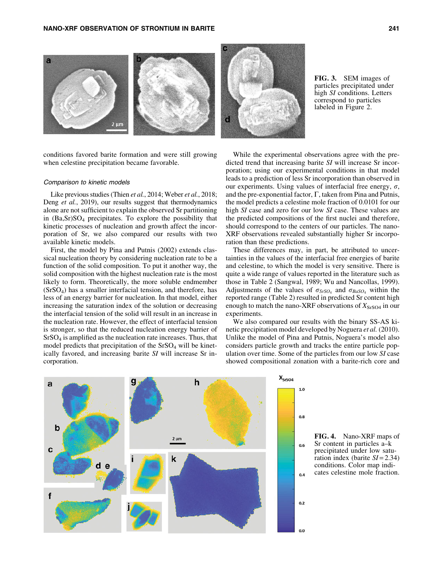

conditions favored barite formation and were still growing when celestine precipitation became favorable.

#### Comparison to kinetic models

Like previous studies (Thien *et al.*, 2014; Weber *et al.*, 2018; Deng *et al.*, 2019), our results suggest that thermodynamics alone are not sufficient to explain the observed Sr partitioning in  $(Ba, Sr)SO<sub>4</sub>$  precipitates. To explore the possibility that kinetic processes of nucleation and growth affect the incorporation of Sr, we also compared our results with two available kinetic models.

First, the model by Pina and Putnis (2002) extends classical nucleation theory by considering nucleation rate to be a function of the solid composition. To put it another way, the solid composition with the highest nucleation rate is the most likely to form. Theoretically, the more soluble endmember (SrSO4) has a smaller interfacial tension, and therefore, has less of an energy barrier for nucleation. In that model, either increasing the saturation index of the solution or decreasing the interfacial tension of the solid will result in an increase in the nucleation rate. However, the effect of interfacial tension is stronger, so that the reduced nucleation energy barrier of  $SrSO<sub>4</sub>$  is amplified as the nucleation rate increases. Thus, that model predicts that precipitation of the  $SrSO<sub>4</sub>$  will be kinetically favored, and increasing barite *SI* will increase Sr incorporation.



FIG. 3. SEM images of particles precipitated under high *SI* conditions. Letters correspond to particles labeled in Figure 2.

While the experimental observations agree with the predicted trend that increasing barite *SI* will increase Sr incorporation; using our experimental conditions in that model leads to a prediction of less Sr incorporation than observed in our experiments. Using values of interfacial free energy,  $\sigma$ , and the pre-exponential factor,  $\Gamma$ , taken from Pina and Putnis, the model predicts a celestine mole fraction of 0.0101 for our high *SI* case and zero for our low *SI* case. These values are the predicted compositions of the first nuclei and therefore, should correspond to the centers of our particles. The nano-XRF observations revealed substantially higher Sr incorporation than these predictions.

These differences may, in part, be attributed to uncertainties in the values of the interfacial free energies of barite and celestine, to which the model is very sensitive. There is quite a wide range of values reported in the literature such as those in Table 2 (Sangwal, 1989; Wu and Nancollas, 1999). Adjustments of the values of  $\sigma_{SrSO_4}$  and  $\sigma_{BaSO_4}$  within the reported range (Table 2) resulted in predicted Sr content high enough to match the nano-XRF observations of  $X_{SrSO4}$  in our experiments.

We also compared our results with the binary SS-AS kinetic precipitation model developed by Noguera *et al.* (2010). Unlike the model of Pina and Putnis, Noguera's model also considers particle growth and tracks the entire particle population over time. Some of the particles from our low *SI* case showed compositional zonation with a barite-rich core and



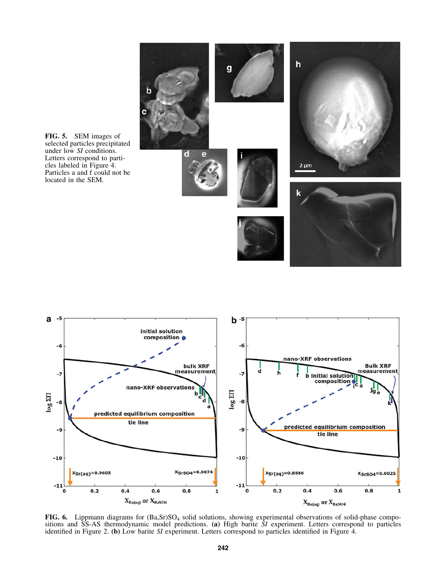



FIG. 6. Lippmann diagrams for (Ba,Sr)SO<sub>4</sub> solid solutions, showing experimental observations of solid-phase compositions and SS-AS thermodynamic model predictions. (a) High barite *SI* experiment. Letters correspond to particles identified in Figure 2. (b) Low barite *SI* experiment. Letters correspond to particles identified in Figure 4.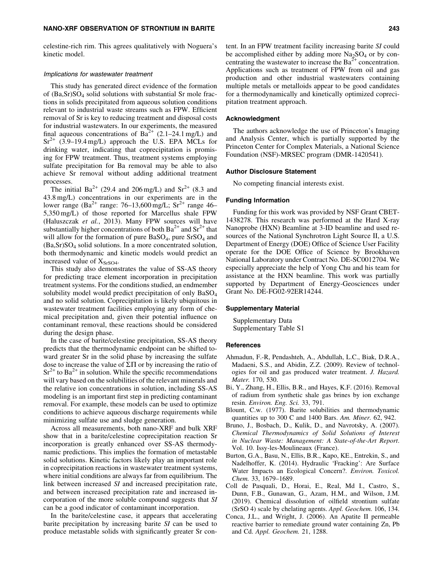celestine-rich rim. This agrees qualitatively with Noguera's kinetic model.

#### Implications for wastewater treatment

This study has generated direct evidence of the formation of (Ba,Sr)SO4 solid solutions with substantial Sr mole fractions in solids precipitated from aqueous solution conditions relevant to industrial waste streams such as FPW. Efficient removal of Sr is key to reducing treatment and disposal costs for industrial wastewaters. In our experiments, the measured final aqueous concentrations of  $Ba^{2+}$  (2.1–24.1 mg/L) and  $Sr^{2+}$  (3.9–19.4 mg/L) approach the U.S. EPA MCLs for drinking water, indicating that coprecipitation is promising for FPW treatment. Thus, treatment systems employing sulfate precipitation for Ba removal may be able to also achieve Sr removal without adding additional treatment processes.

The initial Ba<sup>2+</sup> (29.4 and 206 mg/L) and Sr<sup>2+</sup> (8.3 and 43.8 mg/L) concentrations in our experiments are in the lower range (Ba<sup>2+</sup> range: 76–13,600 mg/L;  $\text{Sr}^{2+}$  range 46– 5,350 mg/L) of those reported for Marcellus shale FPW (Haluszczak *et al.*, 2013). Many FPW sources will have substantially higher concentrations of both  $Ba^{2+}$  and  $Sr^{2+}$  that will allow for the formation of pure  $BaSO<sub>4</sub>$ , pure  $SrSO<sub>4</sub>$  and (Ba,Sr)SO4 solid solutions. In a more concentrated solution, both thermodynamic and kinetic models would predict an increased value of  $X_{SrSO4}$ .

This study also demonstrates the value of SS-AS theory for predicting trace element incorporation in precipitation treatment systems. For the conditions studied, an endmember solubility model would predict precipitation of only  $BaSO<sub>4</sub>$ and no solid solution. Coprecipitation is likely ubiquitous in wastewater treatment facilities employing any form of chemical precipitation and, given their potential influence on contaminant removal, these reactions should be considered during the design phase.

In the case of barite/celestine precipitation, SS-AS theory predicts that the thermodynamic endpoint can be shifted toward greater Sr in the solid phase by increasing the sulfate dose to increase the value of  $\Sigma\Pi$  or by increasing the ratio of  $Sr^{2+}$  to Ba<sup>2+</sup> in solution. While the specific recommendations will vary based on the solubilities of the relevant minerals and the relative ion concentrations in solution, including SS-AS modeling is an important first step in predicting contaminant removal. For example, these models can be used to optimize conditions to achieve aqueous discharge requirements while minimizing sulfate use and sludge generation.

Across all measurements, both nano-XRF and bulk XRF show that in a barite/celestine coprecipitation reaction Sr incorporation is greatly enhanced over SS-AS thermodynamic predictions. This implies the formation of metastable solid solutions. Kinetic factors likely play an important role in coprecipitation reactions in wastewater treatment systems, where initial conditions are always far from equilibrium. The link between increased *SI* and increased precipitation rate, and between increased precipitation rate and increased incorporation of the more soluble compound suggests that *SI* can be a good indicator of contaminant incorporation.

In the barite/celestine case, it appears that accelerating barite precipitation by increasing barite *SI* can be used to produce metastable solids with significantly greater Sr content. In an FPW treatment facility increasing barite *SI* could be accomplished either by adding more  $Na<sub>2</sub>SO<sub>4</sub>$  or by concentrating the wastewater to increase the  $Ba^{2+}$  concentration. Applications such as treatment of FPW from oil and gas production and other industrial wastewaters containing multiple metals or metalloids appear to be good candidates for a thermodynamically and kinetically optimized coprecipitation treatment approach.

#### Acknowledgment

The authors acknowledge the use of Princeton's Imaging and Analysis Center, which is partially supported by the Princeton Center for Complex Materials, a National Science Foundation (NSF)-MRSEC program (DMR-1420541).

#### Author Disclosure Statement

No competing financial interests exist.

#### Funding Information

Funding for this work was provided by NSF Grant CBET-1438278. This research was performed at the Hard X-ray Nanoprobe (HXN) Beamline at 3-ID beamline and used resources of the National Synchrotron Light Source II, a U.S. Department of Energy (DOE) Office of Science User Facility operate for the DOE Office of Science by Brookhaven National Laboratory under Contract No. DE-SC0012704. We especially appreciate the help of Yong Chu and his team for assistance at the HXN beamline. This work was partially supported by Department of Energy-Geosciences under Grant No. DE-FG02-92ER14244.

#### Supplementary Material

Supplementary Data Supplementary Table S1

#### **References**

- Ahmadun, F.-R, Pendashteh, A., Abdullah, L.C., Biak, D.R.A., Madaeni, S.S., and Abidin, Z.Z. (2009). Review of technologies for oil and gas produced water treatment. *J. Hazard. Mater.* 170, 530.
- Bi, Y., Zhang, H., Ellis, B.R., and Hayes, K.F. (2016). Removal of radium from synthetic shale gas brines by ion exchange resin. *Environ. Eng. Sci.* 33, 791.
- Blount, C.w. (1977). Barite solubilities and thermodynamic quantities up to 300 C and 1400 Bars. *Am. Miner.* 62, 942.
- Bruno, J., Bosbach, D., Kulik, D., and Navrotsky, A. (2007). *Chemical Thermodynamics of Solid Solutions of Interest in Nuclear Waste: Management: A State-of-the-Art Report*. Vol. 10. Issy-les-Moulineaux (France).
- Burton, G.A., Basu, N., Ellis, B.R., Kapo, KE., Entrekin, S., and Nadelhoffer, K. (2014). Hydraulic 'Fracking': Are Surface Water Impacts an Ecological Concern?. *Environ. Toxicol. Chem.* 33, 1679–1689.
- Coll de Pasquali, D., Horai, E., Real, Md I., Castro, S., Dunn, F.B., Gunawan, G., Azam, H.M., and Wilson, J.M. (2019). Chemical dissolution of oilfield strontium sulfate (SrSO 4) scale by chelating agents. *Appl. Geochem.* 106, 134.
- Conca, J.L., and Wright, J. (2006). An Apatite II permeable reactive barrier to remediate ground water containing Zn, Pb and Cd. *Appl. Geochem.* 21, 1288.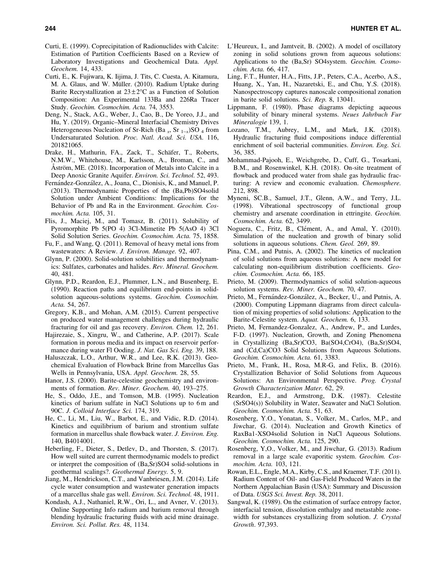- Curti, E. (1999). Coprecipitation of Radionuclides with Calcite: Estimation of Partition Coefficients Based on a Review of Laboratory Investigations and Geochemical Data. *Appl. Geochem.* 14, 433.
- Curti, E., K. Fujiwara, K. Iijima, J. Tits, C. Cuesta, A. Kitamura, M. A. Glaus, and W. Müller. (2010). Radium Uptake during Barite Recrystallization at  $23 \pm 2^{\circ}$ C as a Function of Solution Composition: An Experimental 133Ba and 226Ra Tracer Study. *Geochim. Cosmochim. Acta.* 74, 3553.
- Deng, N., Stack, A.G., Weber, J., Cao, B., De Yoreo, J.J., and Hu, Y. (2019). Organic–Mineral Interfacial Chemistry Drives Heterogeneous Nucleation of Sr-Rich (Ba  $<sub>x</sub>$ , Sr  $<sub>1-x</sub>$ )SO  $<sub>4</sub>$  from</sub></sub></sub> Undersaturated Solution. *Proc. Natl. Acad. Sci. USA.* 116, 201821065.
- Drake, H., Mathurin, FA., Zack, T., Schäfer, T., Roberts, N.M.W., Whitehouse, M., Karlsson, A., Broman, C., and Aström, ME. (2018). Incorporation of Metals into Calcite in a Deep Anoxic Granite Aquifer. *Environ. Sci. Technol.* 52, 493.
- Fernández-González, A., Joana, C., Dionisis, K., and Manuel, P. (2013). Thermodynamic Properties of the (Ba,Pb)SO4solid Solution under Ambient Conditions: Implications for the Behavior of Pb and Ra in the Environment. *Geochim. Cosmochim. Acta.* 105, 31.
- Flis, J., Maciej, M., and Tomasz, B. (2011). Solubility of Pyromorphite Pb 5(PO 4) 3Cl-Mimetite Pb 5(AsO 4) 3Cl Solid Solution Series. *Geochim. Cosmochim. Acta.* 75, 1858.
- Fu, F., and Wang, Q. (2011). Removal of heavy metal ions from wastewaters: A Review. *J. Environ. Manage.* 92, 407.
- Glynn, P. (2000). Solid-solution solubilities and thermodynamics: Sulfates, carbonates and halides. *Rev. Mineral. Geochem.* 40, 481.
- Glynn, P.D., Reardon, E.J., Plummer, L.N., and Busenberg, E. (1990). Reaction paths and equilibrium end-points in solidsolution aqueous-solutions systems. *Geochim. Cosmochim. Acta.* 54, 267.
- Gregory, K.B., and Mohan, A.M. (2015). Current perspective on produced water management challenges during hydraulic fracturing for oil and gas recovery. *Environ. Chem.* 12, 261.
- Hajirezaie, S., Xingru, W., and Catherine, A.P. (2017). Scale formation in porous media and its impact on reservoir performance during water Fl Ooding. *J. Nat. Gas Sci. Eng.* 39, 188.
- Haluszczak, L.O., Arthur, W.R., and Lee, R.K. (2013). Geochemical Evaluation of Flowback Brine from Marcellus Gas Wells in Pennsylvania, USA. *Appl. Geochem.* 28, 55.
- Hanor, J.S. (2000). Barite-celestine geochemistry and environments of formation. *Rev. Miner. Geochem.* 40, 193–275.
- He, S., Oddo, J.E., and Tomson, M.B. (1995). Nucleation kinetics of barium sulfate in NaCl Solutions up to 6 m and 90C. *J. Colloid Interface Sci.* 174, 319.
- He, C., Li, M., Liu, W., Barbot, E., and Vidic, R.D. (2014). Kinetics and equilibrium of barium and strontium sulfate formation in marcellus shale flowback water. *J. Environ. Eng.* 140, B4014001.
- Heberling, F., Dieter, S., Detlev, D., and Thorsten, S. (2017). How well suited are current thermodynamic models to predict or interpret the composition of (Ba,Sr)SO4 solid-solutions in geothermal scalings?. *Geothermal Energy.* 5, 9.
- Jiang, M., Hendrickson, C.T., and Vanbriesen, J.M. (2014). Life cycle water consumption and wastewater generation impacts of a marcellus shale gas well. *Environ. Sci. Technol.* 48, 1911.
- Kondash, A.J., Nathaniel, R.W., Ori, L., and Avner, V. (2013). Online Supporting Info radium and barium removal through blending hydraulic fracturing fluids with acid mine drainage. *Environ. Sci. Pollut. Res.* 48, 1134.
- L'Heureux, I., and Jamtveit, B. (2002). A model of oscillatory zoning in solid solutions grown from aqueous solutions: Applications to the (Ba,Sr) SO4system. *Geochim. Cosmochim. Acta.* 66, 417.
- Ling, F.T., Hunter, H.A., Fitts, J.P., Peters, C.A., Acerbo, A.S., Huang, X., Yan, H., Nazaretski, E., and Chu, Y.S. (2018). Nanospectroscopy captures nanoscale compositional zonation in barite solid solutions. *Sci. Rep.* 8, 13041.
- Lippmann, F. (1980). Phase diagrams depicting aqueous solubility of binary mineral systems. *Neues Jahrbuch Fur Mineralogie* 139, 1.
- Lozano, T.M., Aubrey, L.M., and Mark, J.K. (2018). Hydraulic fracturing fluid compositions induce differential enrichment of soil bacterial communities. *Environ. Eng. Sci.* 36, 385.
- Mohammad-Pajooh, E., Weichgrebe, D., Cuff, G., Tosarkani, B.M., and Rosenwinkel, K.H. (2018). On-site treatment of flowback and produced water from shale gas hydraulic fracturing: A review and economic evaluation. *Chemosphere.* 212, 898.
- Myneni, SC.B., Samuel, J.T., Glenn, A.W., and Terry, J.L. (1998). Vibrational spectroscopy of functional group chemistry and arsenate coordination in ettringite. *Geochim. Cosmochim. Acta.* 62, 3499.
- Noguera, C., Fritz, B., Clément, A., and Amal, Y. (2010). Simulation of the nucleation and growth of binary solid solutions in aqueous solutions. *Chem. Geol.* 269, 89.
- Pina, C.M., and Putnis, A. (2002). The kinetics of nucleation of solid solutions from aqueous solutions: A new model for calculating non-equilibrium distribution coefficients. *Geochim. Cosmochim. Acta.* 66, 185.
- Prieto, M. (2009). Thermodynamics of solid solution-aqueous solution systems. *Rev. Miner. Geochem.* 70, 47.
- Prieto, M., Fernández-González, A., Becker, U., and Putnis, A. (2000). Computing Lippmann diagrams from direct calculation of mixing properties of solid solutions: Application to the Barite-Celestite system. *Aquat. Geochem.* 6, 133.
- Prieto, M, Fernandez-Gonzalez, A., Andrew, P., and Lurdes, F-D. (1997). Nucleation, Growth, and Zoning Phenomena in Crystallizing (Ba,Sr)CO3, Ba(SO4,CrO4), (Ba,Sr)SO4, and (Cd,Ca)CO3 Solid Solutions from Aqueous Solutions. *Geochim. Cosmochim. Acta.* 61, 3383.
- Prieto, M., Frank, H., Rosa, M.R-G, and Felix, B. (2016). Crystallization Behavior of Solid Solutions from Aqueous Solutions: An Environmental Perspective. *Prog. Crystal Growth Characterization Mater.* 62, 29.
- Reardon, E.J., and Armstrong, D.K. (1987). Celestite (SrSO4(s)) Solubility in Water, Seawater and NaCl Solution. *Geochim. Cosmochim. Acta.* 51, 63.
- Rosenberg, Y.O., Yonatan, S., Volker, M., Carlos, M.P., and Jiwchar, G. (2014). Nucleation and Growth Kinetics of RaxBa1-XSO4solid Solution in NaCl Aqueous Solutions. *Geochim. Cosmochim. Acta.* 125, 290.
- Rosenberg, Y,O., Volker, M., and Jiwchar, G. (2013). Radium removal in a large scale evaporitic system. *Geochim. Cosmochim. Acta.* 103, 121.
- Rowan, E.L., Engle, M.A., Kirby, C.S., and Kraemer, T.F. (2011). Radium Content of Oil- and Gas-Field Produced Waters in the Northern Appalachian Basin (USA): Summary and Discussion of Data. *USGS Sci. Invest. Rep.* 38, 2011.
- Sangwal, K. (1989). On the estimation of surface entropy factor, interfacial tension, dissolution enthalpy and metastable zonewidth for substances crystallizing from solution. *J. Crystal Growth*. 97,393.